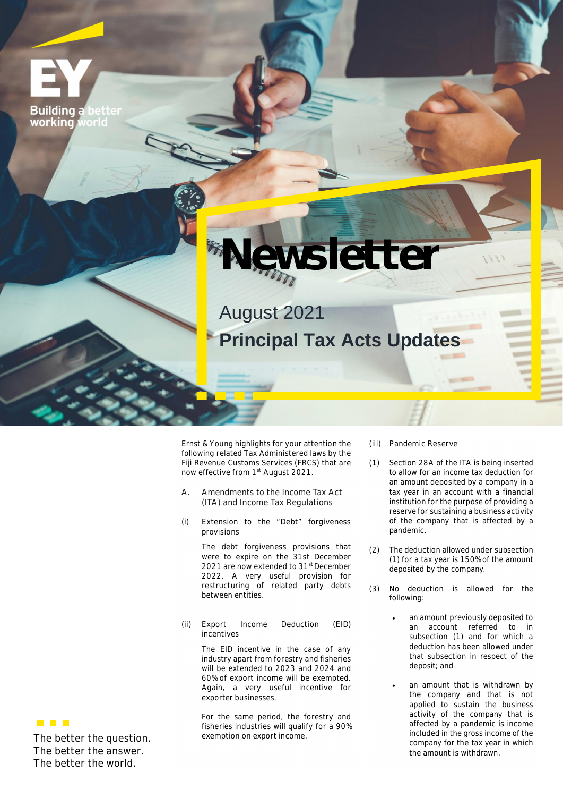**Building a** working voric



August 2021 **Principal Tax Acts Updates**

Ernst & Young highlights for your attention the following related Tax Administered laws by the Fiji Revenue Customs Services (FRCS) that are now effective from 1st August 2021.

- **A. Amendments to the Income Tax Act (ITA) and Income Tax Regulations**
- **(i) Extension to the "Debt" forgiveness provisions**

The debt forgiveness provisions that were to expire on the 31st December 2021 are now extended to 31<sup>st</sup> December 2022. A very useful provision for restructuring of related party debts between entities.

**(ii) Export Income Deduction (EID) incentives**

> The EID incentive in the case of any industry apart from forestry and fisheries will be extended to 2023 and 2024 and 60% of export income will be exempted. Again, a very useful incentive for exporter businesses.

For the same period, the forestry and fisheries industries will qualify for a 90% exemption on export income.

- **(iii) Pandemic Reserve**
- (1) Section 28A of the ITA is being inserted to allow for an income tax deduction for an amount deposited by a company in a tax year in an account with a financial institution for the purpose of providing a reserve for sustaining a business activity of the company that is affected by a pandemic.
- (2) The deduction allowed under subsection (1) for a tax year is 150% of the amount deposited by the company.
- (3) No deduction is allowed for the following:
	- an amount previously deposited to an account referred to in subsection (1) and for which a deduction has been allowed under that subsection in respect of the deposit; and
	- an amount that is withdrawn by the company and that is not applied to sustain the business activity of the company that is affected by a pandemic is income included in the gross income of the company for the tax year in which the amount is withdrawn.



**The better the question. The better the answer. The better the world.**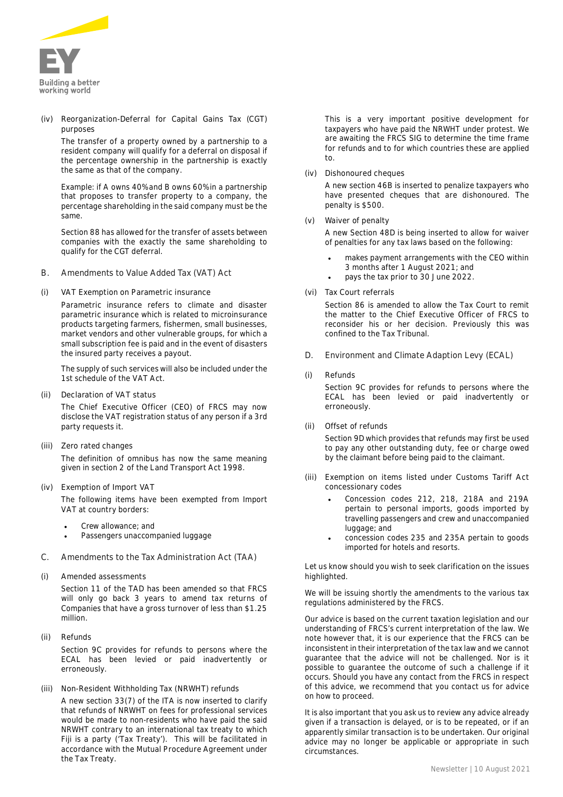

**(iv) Reorganization-Deferral for Capital Gains Tax (CGT) purposes**

The transfer of a property owned by a partnership to a resident company will qualify for a deferral on disposal if the percentage ownership in the partnership is exactly the same as that of the company.

Example: if A owns 40% and B owns 60% in a partnership that proposes to transfer property to a company, the percentage shareholding in the said company must be the same.

Section 88 has allowed for the transfer of assets between companies with the exactly the same shareholding to qualify for the CGT deferral.

- **B. Amendments to Value Added Tax (VAT) Act**
- **(i) VAT Exemption on Parametric insurance**

Parametric insurance refers to climate and disaster parametric insurance which is related to microinsurance products targeting farmers, fishermen, small businesses, market vendors and other vulnerable groups, for which a small subscription fee is paid and in the event of disasters the insured party receives a payout.

The supply of such services will also be included under the 1st schedule of the VAT Act.

**(ii) Declaration of VAT status**

The Chief Executive Officer (CEO) of FRCS may now disclose the VAT registration status of any person if a 3rd party requests it.

**(iii) Zero rated changes**

The definition of omnibus has now the same meaning given in section 2 of the Land Transport Act 1998.

**(iv) Exemption of Import VAT**

The following items have been exempted from Import VAT at country borders:

- Crew allowance; and
- Passengers unaccompanied luggage
- **C. Amendments to the Tax Administration Act (TAA)**
- **(i) Amended assessments**

Section 11 of the TAD has been amended so that FRCS will only go back 3 years to amend tax returns of Companies that have a gross turnover of less than \$1.25 million.

**(ii) Refunds**

Section 9C provides for refunds to persons where the ECAL has been levied or paid inadvertently or erroneously.

**(iii) Non-Resident Withholding Tax (NRWHT) refunds**

A new section 33(7) of the ITA is now inserted to clarify that refunds of NRWHT on fees for professional services would be made to non-residents who have paid the said NRWHT contrary to an international tax treaty to which Fiji is a party ('Tax Treaty'). This will be facilitated in accordance with the Mutual Procedure Agreement under the Tax Treaty.

This is a very important positive development for taxpayers who have paid the NRWHT under protest. We are awaiting the FRCS SIG to determine the time frame for refunds and to for which countries these are applied to.

**(iv) Dishonoured cheques**

A new section 46B is inserted to penalize taxpayers who have presented cheques that are dishonoured. The penalty is \$500.

**(v) Waiver of penalty**

A new Section 48D is being inserted to allow for waiver of penalties for any tax laws based on the following:

- makes payment arrangements with the CEO within 3 months after 1 August 2021; and
- pays the tax prior to 30 June 2022.
- **(vi) Tax Court referrals**

Section 86 is amended to allow the Tax Court to remit the matter to the Chief Executive Officer of FRCS to reconsider his or her decision. Previously this was confined to the Tax Tribunal.

- **D. Environment and Climate Adaption Levy (ECAL)**
- **(i) Refunds**

Section 9C provides for refunds to persons where the ECAL has been levied or paid inadvertently or erroneously.

**(ii) Offset of refunds**

Section 9D which provides that refunds may first be used to pay any other outstanding duty, fee or charge owed by the claimant before being paid to the claimant.

- **(iii) Exemption on items listed under Customs Tariff Act concessionary codes**
	- Concession codes 212, 218, 218A and 219A pertain to personal imports, goods imported by travelling passengers and crew and unaccompanied luggage; and
	- concession codes 235 and 235A pertain to goods imported for hotels and resorts.

Let us know should you wish to seek clarification on the issues highlighted.

We will be issuing shortly the amendments to the various tax regulations administered by the FRCS.

*Our advice is based on the current taxation legislation and our understanding of FRCS's current interpretation of the law. We note however that, it is our experience that the FRCS can be inconsistent in their interpretation of the tax law and we cannot guarantee that the advice will not be challenged. Nor is it possible to guarantee the outcome of such a challenge if it occurs. Should you have any contact from the FRCS in respect of this advice, we recommend that you contact us for advice on how to proceed.*

*It is also important that you ask us to review any advice already given if a transaction is delayed, or is to be repeated, or if an apparently similar transaction is to be undertaken. Our original advice may no longer be applicable or appropriate in such circumstances.*